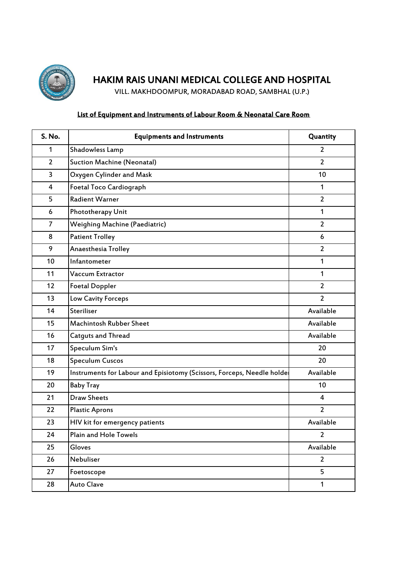

## HAKIM RAIS UNANI MEDICAL COLLEGE AND HOSPITAL

VILL. MAKHDOOMPUR, MORADABAD ROAD, SAMBHAL (U.P.)

## List of Equipment and Instruments of Labour Room & Neonatal Care Room

| S. No.         | <b>Equipments and Instruments</b>                                      | Quantity       |
|----------------|------------------------------------------------------------------------|----------------|
| 1              | Shadowless Lamp                                                        | $\overline{2}$ |
| $\overline{2}$ | <b>Suction Machine (Neonatal)</b>                                      | $\overline{2}$ |
| 3              | Oxygen Cylinder and Mask                                               | 10             |
| 4              | <b>Foetal Toco Cardiograph</b>                                         | 1              |
| 5              | <b>Radient Warner</b>                                                  | $\overline{2}$ |
| 6              | Phototherapy Unit                                                      | 1              |
| $\overline{7}$ | <b>Weighing Machine (Paediatric)</b>                                   | $\overline{2}$ |
| 8              | <b>Patient Trolley</b>                                                 | 6              |
| 9              | Anaesthesia Trolley                                                    | $\overline{2}$ |
| 10             | Infantometer                                                           | 1              |
| 11             | Vaccum Extractor                                                       | 1              |
| 12             | <b>Foetal Doppler</b>                                                  | $\overline{2}$ |
| 13             | Low Cavity Forceps                                                     | $\overline{2}$ |
| 14             | Steriliser                                                             | Available      |
| 15             | <b>Machintosh Rubber Sheet</b>                                         | Available      |
| 16             | <b>Catguts and Thread</b>                                              | Available      |
| 17             | Speculum Sim's                                                         | 20             |
| 18             | <b>Speculum Cuscos</b>                                                 | 20             |
| 19             | Instruments for Labour and Episiotomy (Scissors, Forceps, Needle holde | Available      |
| 20             | <b>Baby Tray</b>                                                       | 10             |
| 21             | <b>Draw Sheets</b>                                                     | $\overline{4}$ |
| 22             | <b>Plastic Aprons</b>                                                  | $\overline{2}$ |
| 23             | HIV kit for emergency patients                                         | Available      |
| 24             | Plain and Hole Towels                                                  | $\overline{2}$ |
| 25             | Gloves                                                                 | Available      |
| 26             | Nebuliser                                                              | $\overline{2}$ |
| 27             | Foetoscope                                                             | 5              |
| 28             | <b>Auto Clave</b>                                                      | $\mathbf{1}$   |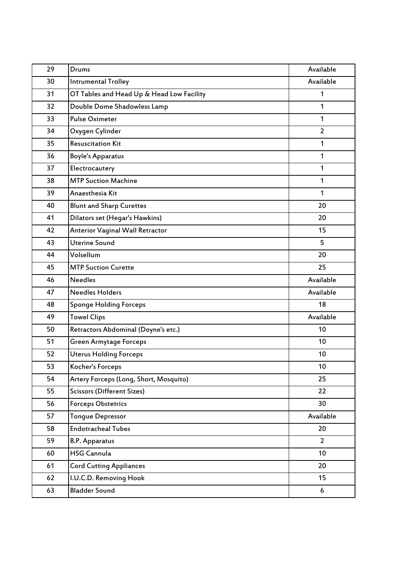| 29 | Drums                                     | Available      |
|----|-------------------------------------------|----------------|
| 30 | <b>Intrumental Trolley</b>                | Available      |
| 31 | OT Tables and Head Up & Head Low Facility | 1              |
| 32 | Double Dome Shadowless Lamp               | 1              |
| 33 | <b>Pulse Oximeter</b>                     | 1              |
| 34 | Oxygen Cylinder                           | $\overline{2}$ |
| 35 | <b>Resuscitation Kit</b>                  | $\mathbf{1}$   |
| 36 | <b>Boyle's Apparatus</b>                  | 1              |
| 37 | Electrocautery                            | 1              |
| 38 | <b>MTP Suction Machine</b>                | 1              |
| 39 | Anaesthesia Kit                           | 1              |
| 40 | <b>Blunt and Sharp Curettes</b>           | 20             |
| 41 | Dilators set (Hegar's Hawkins)            | 20             |
| 42 | <b>Anterior Vaginal Wall Retractor</b>    | 15             |
| 43 | <b>Uterine Sound</b>                      | 5              |
| 44 | Volsellum                                 | 20             |
| 45 | <b>MTP Suction Curette</b>                | 25             |
| 46 | <b>Needles</b>                            | Available      |
| 47 | <b>Needles Holders</b>                    | Available      |
| 48 | <b>Sponge Holding Forceps</b>             | 18             |
| 49 | <b>Towel Clips</b>                        | Available      |
| 50 | Retractors Abdominal (Doyne's etc.)       | 10             |
| 51 | <b>Green Armytage Forceps</b>             | 10             |
| 52 | <b>Uterus Holding Forceps</b>             | 10             |
| 53 | Kocher's Forceps                          | 10             |
| 54 | Artery Forceps (Long, Short, Mosquito)    | 25             |
| 55 | <b>Scissors (Different Sizes)</b>         | 22             |
| 56 | <b>Forceps Obstetrics</b>                 | 30             |
| 57 | <b>Tonque Depressor</b>                   | Available      |
| 58 | <b>Endotracheal Tubes</b>                 | 20             |
| 59 | <b>B.P. Apparatus</b>                     | $\overline{2}$ |
| 60 | <b>HSG Cannula</b>                        | 10             |
| 61 | <b>Cord Cutting Appliances</b>            | 20             |
| 62 | I.U.C.D. Removing Hook                    | 15             |
| 63 | <b>Bladder Sound</b>                      | 6              |